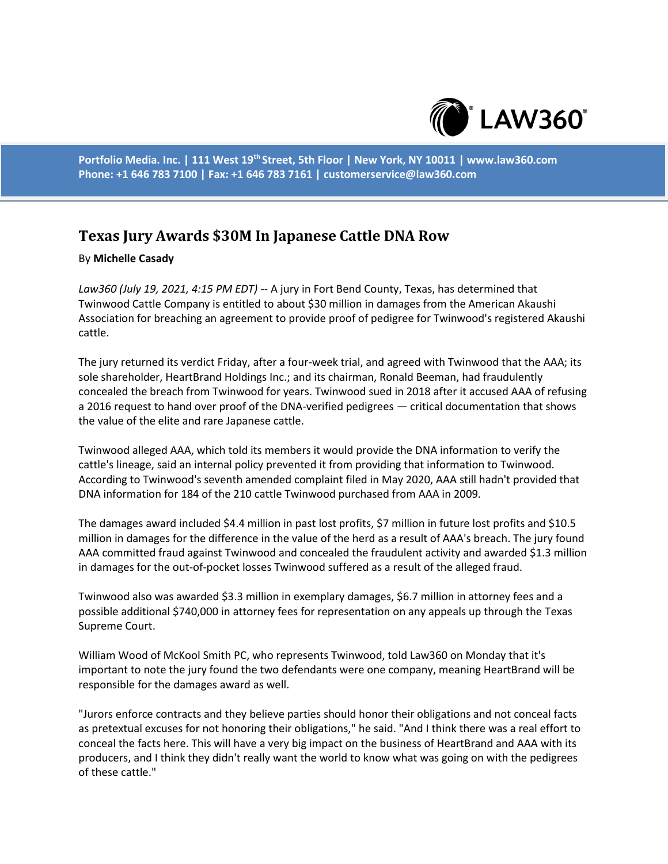

**Portfolio Media. Inc. | 111 West 19th Street, 5th Floor | New York, NY 10011 | www.law360.com Phone: +1 646 783 7100 | Fax: +1 646 783 7161 | customerservice@law360.com**

## **Texas Jury Awards \$30M In Japanese Cattle DNA Row**

## By **Michelle Casady**

*Law360 (July 19, 2021, 4:15 PM EDT)* -- A jury in Fort Bend County, Texas, has determined that Twinwood Cattle Company is entitled to about \$30 million in damages from the American Akaushi Association for breaching an agreement to provide proof of pedigree for Twinwood's registered Akaushi cattle.

The jury returned its verdict Friday, after a four-week trial, and agreed with Twinwood that the AAA; its sole shareholder, HeartBrand Holdings Inc.; and its chairman, Ronald Beeman, had fraudulently concealed the breach from Twinwood for years. Twinwood sued in 2018 after it accused AAA of refusing a 2016 request to hand over proof of the DNA-verified pedigrees — critical documentation that shows the value of the elite and rare Japanese cattle.

Twinwood alleged AAA, which told its members it would provide the DNA information to verify the cattle's lineage, said an internal policy prevented it from providing that information to Twinwood. According to Twinwood's seventh amended complaint filed in May 2020, AAA still hadn't provided that DNA information for 184 of the 210 cattle Twinwood purchased from AAA in 2009.

The damages award included \$4.4 million in past lost profits, \$7 million in future lost profits and \$10.5 million in damages for the difference in the value of the herd as a result of AAA's breach. The jury found AAA committed fraud against Twinwood and concealed the fraudulent activity and awarded \$1.3 million in damages for the out-of-pocket losses Twinwood suffered as a result of the alleged fraud.

Twinwood also was awarded \$3.3 million in exemplary damages, \$6.7 million in attorney fees and a possible additional \$740,000 in attorney fees for representation on any appeals up through the Texas Supreme Court.

William Wood of McKool Smith PC, who represents Twinwood, told Law360 on Monday that it's important to note the jury found the two defendants were one company, meaning HeartBrand will be responsible for the damages award as well.

"Jurors enforce contracts and they believe parties should honor their obligations and not conceal facts as pretextual excuses for not honoring their obligations," he said. "And I think there was a real effort to conceal the facts here. This will have a very big impact on the business of HeartBrand and AAA with its producers, and I think they didn't really want the world to know what was going on with the pedigrees of these cattle."